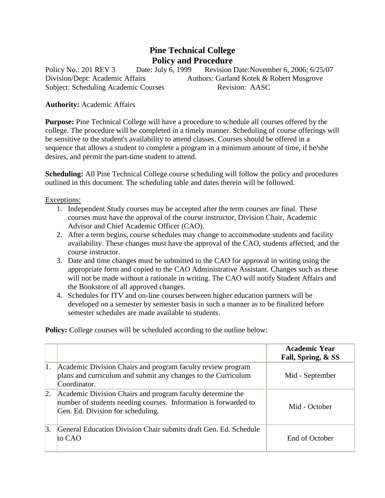## **Pine Technical College Policy and Procedure**

Policy No.: 201 REV 3 Date: July 6, 1999 Revision Date: November 6, 2006; 6/25/07 Division/Dept: Academic Affairs Authors: Garland Kotek & Robert Musgrove Subject: Scheduling Academic Courses Revision: AASC

## **Authority:** Academic Affairs

**Purpose:** Pine Technical College will have a procedure to schedule all courses offered by the college. The procedure will be completed in a timely manner. Scheduling of course offerings will be sensitive to the student's availability to attend classes. Courses should be offered in a sequence that allows a student to complete a program in a minimum amount of time, if he/she desires, and permit the part-time student to attend.

**Scheduling:** All Pine Technical College course scheduling will follow the policy and procedures outlined in this document. The scheduling table and dates therein will be followed.

## Exceptions:

- 1. Independent Study courses may be accepted after the term courses are final. These courses must have the approval of the course instructor, Division Chair, Academic Advisor and Chief Academic Officer (CAO).
- 2. After a term begins, course schedules may change to accommodate students and facility availability. These changes must have the approval of the CAO, students affected, and the course instructor.
- 3. Date and time changes must be submitted to the CAO for approval in writing using the appropriate form and copied to the CAO Administrative Assistant. Changes such as these will not be made without a rationale in writing. The CAO will notify Student Affairs and the Bookstore of all approved changes.
- 4. Schedules for ITV and on-line courses between higher education partners will be developed on a semester by semester basis in such a manner as to be finalized before semester schedules are made available to students.

**Policy:** College courses will be scheduled according to the outline below:

|                  |                                                                                                                                                                    | <b>Academic Year</b><br>Fall, Spring, & SS |
|------------------|--------------------------------------------------------------------------------------------------------------------------------------------------------------------|--------------------------------------------|
| 1.               | Academic Division Chairs and program faculty review program<br>plans and curriculum and submit any changes to the Curriculum<br>Coordinator.                       | Mid - September                            |
| $\vert 2. \vert$ | Academic Division Chairs and program faculty determine the<br>number of students needing courses. Information is forwarded to<br>Gen. Ed. Division for scheduling. | Mid - October                              |
|                  | General Education Division Chair submits draft Gen. Ed. Schedule<br>to CAO                                                                                         | End of October                             |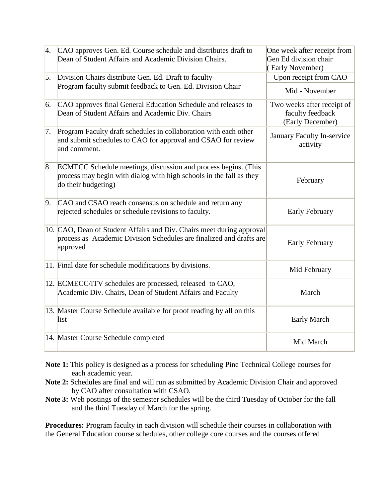| 4.               | CAO approves Gen. Ed. Course schedule and distributes draft to<br>Dean of Student Affairs and Academic Division Chairs.                                      | One week after receipt from<br>Gen Ed division chair<br>(Early November) |
|------------------|--------------------------------------------------------------------------------------------------------------------------------------------------------------|--------------------------------------------------------------------------|
| $\vert 5. \vert$ | Division Chairs distribute Gen. Ed. Draft to faculty<br>Program faculty submit feedback to Gen. Ed. Division Chair                                           | Upon receipt from CAO                                                    |
|                  |                                                                                                                                                              | Mid - November                                                           |
| 6.               | CAO approves final General Education Schedule and releases to<br>Dean of Student Affairs and Academic Div. Chairs                                            | Two weeks after receipt of<br>faculty feedback<br>(Early December)       |
| 7.               | Program Faculty draft schedules in collaboration with each other<br>and submit schedules to CAO for approval and CSAO for review<br>and comment.             | January Faculty In-service<br>activity                                   |
| 8.               | ECMECC Schedule meetings, discussion and process begins. (This<br>process may begin with dialog with high schools in the fall as they<br>do their budgeting) | February                                                                 |
| 9.               | CAO and CSAO reach consensus on schedule and return any<br>rejected schedules or schedule revisions to faculty.                                              | <b>Early February</b>                                                    |
|                  | 10. CAO, Dean of Student Affairs and Div. Chairs meet during approval<br>process as Academic Division Schedules are finalized and drafts are<br>approved     | <b>Early February</b>                                                    |
|                  | 11. Final date for schedule modifications by divisions.                                                                                                      | Mid February                                                             |
|                  | 12. ECMECC/ITV schedules are processed, released to CAO,<br>Academic Div. Chairs, Dean of Student Affairs and Faculty                                        | March                                                                    |
|                  | 13. Master Course Schedule available for proof reading by all on this<br>list                                                                                | <b>Early March</b>                                                       |
|                  | 14. Master Course Schedule completed                                                                                                                         | Mid March                                                                |

**Note 1:** This policy is designed as a process for scheduling Pine Technical College courses for each academic year.

- **Note 2:** Schedules are final and will run as submitted by Academic Division Chair and approved by CAO after consultation with CSAO.
- **Note 3:** Web postings of the semester schedules will be the third Tuesday of October for the fall and the third Tuesday of March for the spring.

**Procedures:** Program faculty in each division will schedule their courses in collaboration with the General Education course schedules, other college core courses and the courses offered